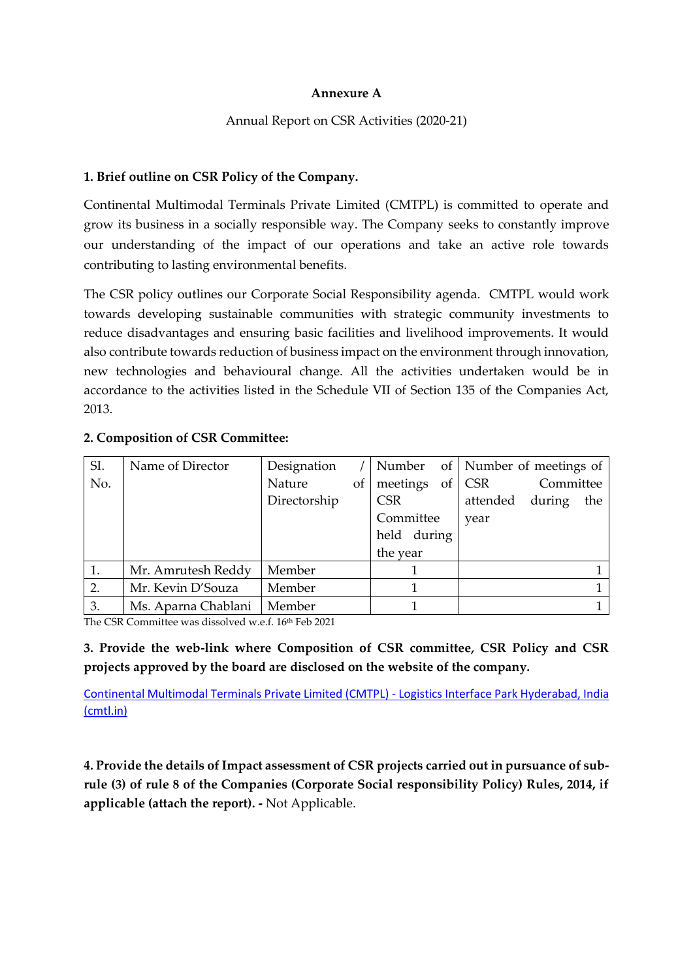### **Annexure A**

# Annual Report on CSR Activities (2020-21)

# **1. Brief outline on CSR Policy of the Company.**

Continental Multimodal Terminals Private Limited (CMTPL) is committed to operate and grow its business in a socially responsible way. The Company seeks to constantly improve our understanding of the impact of our operations and take an active role towards contributing to lasting environmental benefits.

The CSR policy outlines our Corporate Social Responsibility agenda. CMTPL would work towards developing sustainable communities with strategic community investments to reduce disadvantages and ensuring basic facilities and livelihood improvements. It would also contribute towards reduction of business impact on the environment through innovation, new technologies and behavioural change. All the activities undertaken would be in accordance to the activities listed in the Schedule VII of Section 135 of the Companies Act, 2013.

| SI. | Name of Director    | Designation  |                  |                         |  | Number of Number of meetings of |           |     |
|-----|---------------------|--------------|------------------|-------------------------|--|---------------------------------|-----------|-----|
| No. |                     | Nature       | $\left  \right $ | meetings of $\vert$ CSR |  |                                 | Committee |     |
|     |                     | Directorship |                  | <b>CSR</b>              |  | attended during                 |           | the |
|     |                     |              |                  | Committee               |  | year                            |           |     |
|     |                     |              |                  | held during             |  |                                 |           |     |
|     |                     |              |                  | the year                |  |                                 |           |     |
|     | Mr. Amrutesh Reddy  | Member       |                  |                         |  |                                 |           |     |
| 2.  | Mr. Kevin D'Souza   | Member       |                  |                         |  |                                 |           |     |
| 3.  | Ms. Aparna Chablani | Member       |                  |                         |  |                                 |           |     |

# **2. Composition of CSR Committee:**

The CSR Committee was dissolved w.e.f. 16th Feb 2021

**3. Provide the web-link where Composition of CSR committee, CSR Policy and CSR projects approved by the board are disclosed on the website of the company.**

[Continental Multimodal Terminals Private Limited \(CMTPL\) -](http://www.cmtl.in/index.php?contentid=Mjk=) Logistics Interface Park Hyderabad, India [\(cmtl.in\)](http://www.cmtl.in/index.php?contentid=Mjk=)

**4. Provide the details of Impact assessment of CSR projects carried out in pursuance of subrule (3) of rule 8 of the Companies (Corporate Social responsibility Policy) Rules, 2014, if applicable (attach the report). -** Not Applicable.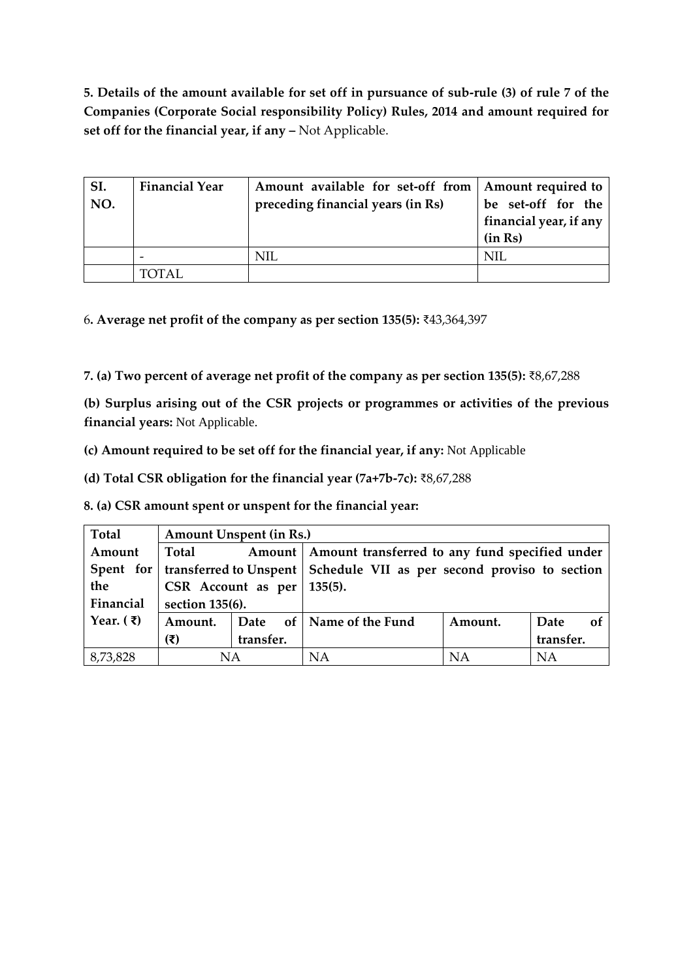**5. Details of the amount available for set off in pursuance of sub-rule (3) of rule 7 of the Companies (Corporate Social responsibility Policy) Rules, 2014 and amount required for set off for the financial year, if any –** Not Applicable.

| SI.<br>NO. | <b>Financial Year</b> | Amount available for set-off from   Amount required to<br>preceding financial years (in Rs) | be set-off for the<br>financial year, if any<br>(in Rs) |
|------------|-----------------------|---------------------------------------------------------------------------------------------|---------------------------------------------------------|
|            |                       | NIL                                                                                         | NIL                                                     |
|            | TOTAL.                |                                                                                             |                                                         |

6**. Average net profit of the company as per section 135(5):** ₹43,364,397

**7. (a) Two percent of average net profit of the company as per section 135(5):** ₹8,67,288

**(b) Surplus arising out of the CSR projects or programmes or activities of the previous financial years:** Not Applicable.

**(c) Amount required to be set off for the financial year, if any:** Not Applicable

**(d) Total CSR obligation for the financial year (7a+7b-7c):** ₹8,67,288

**8. (a) CSR amount spent or unspent for the financial year:**

| Total                 | Amount Unspent (in Rs.)   |                                 |                                                                                    |         |            |  |  |  |  |
|-----------------------|---------------------------|---------------------------------|------------------------------------------------------------------------------------|---------|------------|--|--|--|--|
| Amount                | Total                     |                                 | Amount   Amount transferred to any fund specified under                            |         |            |  |  |  |  |
|                       |                           |                                 | Spent for   transferred to Unspent   Schedule VII as per second proviso to section |         |            |  |  |  |  |
| the                   |                           | CSR Account as per $  135(5)$ . |                                                                                    |         |            |  |  |  |  |
| Financial             | section 135(6).           |                                 |                                                                                    |         |            |  |  |  |  |
| Year. $(\bar{\zeta})$ | Amount.                   |                                 | Date of Name of the Fund                                                           | Amount. | Date<br>of |  |  |  |  |
|                       | $(\overline{\mathbf{x}})$ | transfer.                       |                                                                                    |         | transfer.  |  |  |  |  |
| 8,73,828              | ΝA                        |                                 | <b>NA</b>                                                                          | NA      | <b>NA</b>  |  |  |  |  |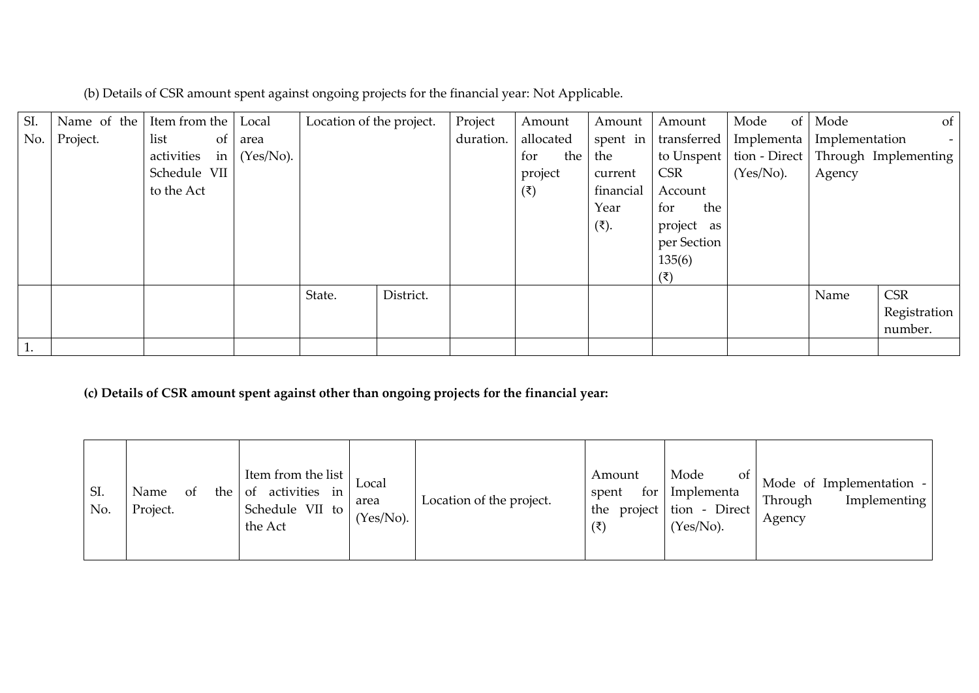| (b) Details of CSR amount spent against ongoing projects for the financial year: Not Applicable. |  |
|--------------------------------------------------------------------------------------------------|--|
|                                                                                                  |  |

| SI. | Name of the | Item from the                            | Local        | Location of the project. |           | Project   | Amount          | Amount               | Amount             | Mode<br>of <sub>1</sub> | Mode           | of                                   |
|-----|-------------|------------------------------------------|--------------|--------------------------|-----------|-----------|-----------------|----------------------|--------------------|-------------------------|----------------|--------------------------------------|
| No. | Project.    | list<br>of                               | area         |                          |           | duration. | allocated       | spent in             | transferred        | Implementa              | Implementation |                                      |
|     |             | activities<br>$\left  \text{in} \right $ | $(Yes/No)$ . |                          |           |           | the<br>for      | the                  | to Unspent         |                         |                | tion - Direct   Through Implementing |
|     |             | Schedule VII                             |              |                          |           |           | project         | current              | <b>CSR</b>         | $(Yes/No)$ .            | Agency         |                                      |
|     |             | to the Act                               |              |                          |           |           | $(\bar{\zeta})$ | financial            | Account            |                         |                |                                      |
|     |             |                                          |              |                          |           |           |                 | Year                 | the<br>for         |                         |                |                                      |
|     |             |                                          |              |                          |           |           |                 | $(\overline{\xi})$ . | project as         |                         |                |                                      |
|     |             |                                          |              |                          |           |           |                 |                      | per Section        |                         |                |                                      |
|     |             |                                          |              |                          |           |           |                 |                      | 135(6)             |                         |                |                                      |
|     |             |                                          |              |                          |           |           |                 |                      | $(\overline{\xi})$ |                         |                |                                      |
|     |             |                                          |              | State.                   | District. |           |                 |                      |                    |                         | Name           | <b>CSR</b>                           |
|     |             |                                          |              |                          |           |           |                 |                      |                    |                         |                | Registration                         |
|     |             |                                          |              |                          |           |           |                 |                      |                    |                         |                | number.                              |
|     |             |                                          |              |                          |           |           |                 |                      |                    |                         |                |                                      |

**(c) Details of CSR amount spent against other than ongoing projects for the financial year:**

| SI.<br>No. | the<br>Name<br><sub>of</sub><br>Project. | Item from the list<br>activities<br>-of<br>in<br>Schedule VII to<br>the Act | Local<br>area<br>$(Yes/No)$ . | Location of the project. | Amount<br>spent<br>for 1<br>$(\bar{\xi})$ | Mode<br>Οf<br>Implementa<br>the project tion - Direct<br>$(Yes/No)$ . | Mode of Implementation -<br>Implementing<br>Through<br>Agency |
|------------|------------------------------------------|-----------------------------------------------------------------------------|-------------------------------|--------------------------|-------------------------------------------|-----------------------------------------------------------------------|---------------------------------------------------------------|
|------------|------------------------------------------|-----------------------------------------------------------------------------|-------------------------------|--------------------------|-------------------------------------------|-----------------------------------------------------------------------|---------------------------------------------------------------|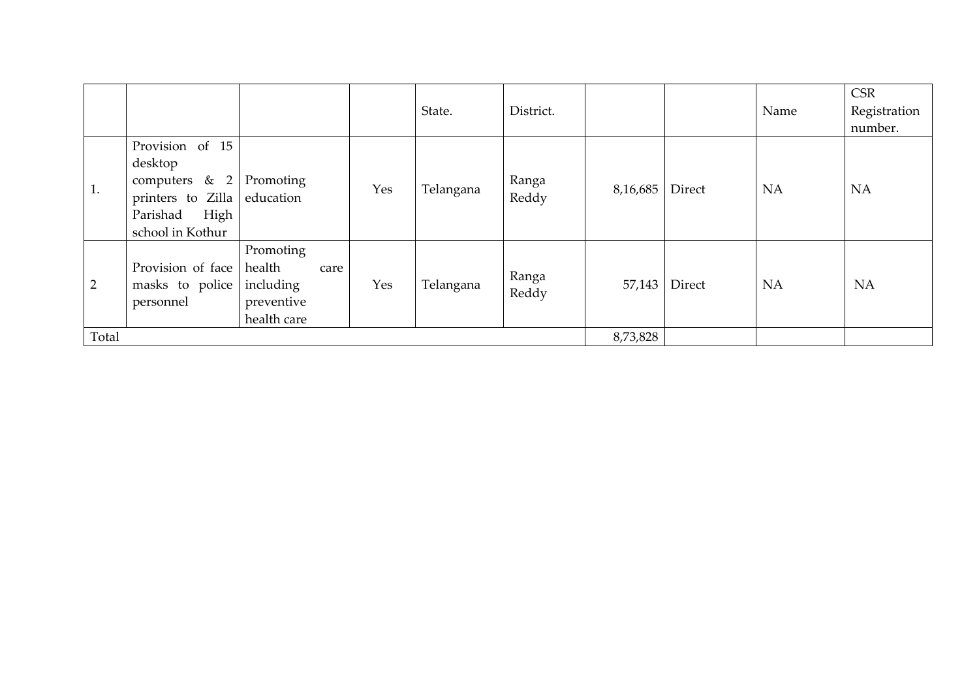|                |                                                                                                                       |                                                          |     | State.    | District.      |          |        | Name      | <b>CSR</b><br>Registration<br>number. |
|----------------|-----------------------------------------------------------------------------------------------------------------------|----------------------------------------------------------|-----|-----------|----------------|----------|--------|-----------|---------------------------------------|
| 1.             | Provision of 15<br>desktop<br>computers $\&$ 2<br>printers to Zilla education<br>High<br>Parishad<br>school in Kothur | Promoting                                                | Yes | Telangana | Ranga<br>Reddy | 8,16,685 | Direct | <b>NA</b> | <b>NA</b>                             |
| $\overline{2}$ | Provision of face<br>masks to police including<br>personnel                                                           | Promoting<br>health<br>care<br>preventive<br>health care | Yes | Telangana | Ranga<br>Reddy | 57,143   | Direct | <b>NA</b> | <b>NA</b>                             |
| Total          |                                                                                                                       |                                                          |     |           |                | 8,73,828 |        |           |                                       |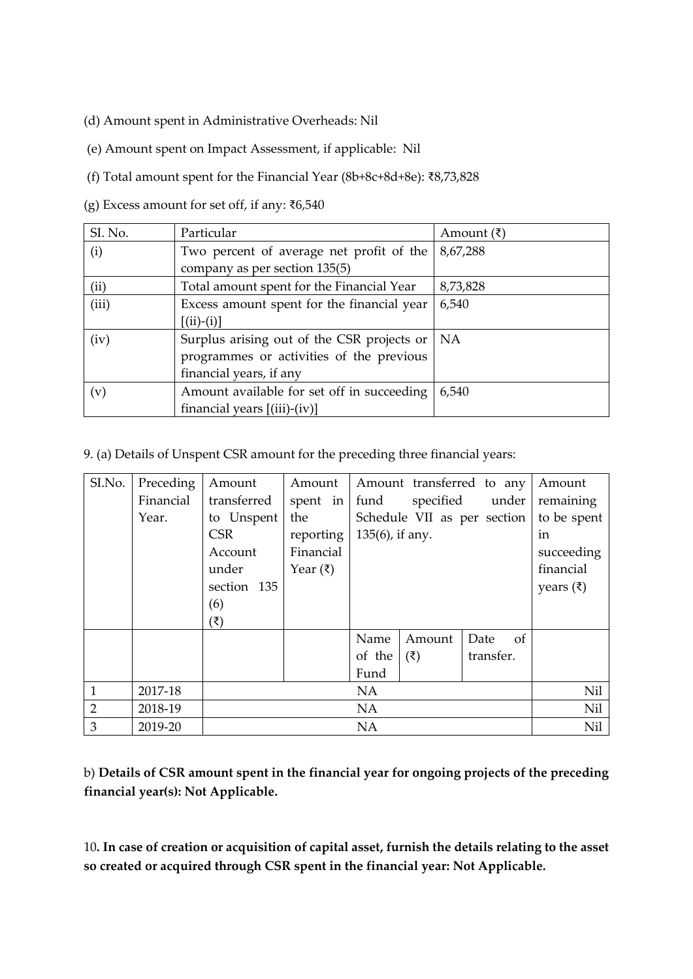- (d) Amount spent in Administrative Overheads: Nil
- (e) Amount spent on Impact Assessment, if applicable: Nil

(f) Total amount spent for the Financial Year (8b+8c+8d+8e): ₹8,73,828

(g) Excess amount for set off, if any: ₹6,540

| SI. No. | Particular                                 | Amount $(\bar{\zeta})$ |
|---------|--------------------------------------------|------------------------|
| (i)     | Two percent of average net profit of the   | 8,67,288               |
|         | company as per section 135(5)              |                        |
| (ii)    | Total amount spent for the Financial Year  | 8,73,828               |
| (iii)   | Excess amount spent for the financial year | 6,540                  |
|         | $[(ii)-(i)]$                               |                        |
| (iv)    | Surplus arising out of the CSR projects or | NA                     |
|         | programmes or activities of the previous   |                        |
|         | financial years, if any                    |                        |
| (v)     | Amount available for set off in succeeding | 6,540                  |
|         | financial years $[(iii)-(iv)]$             |                        |

9. (a) Details of Unspent CSR amount for the preceding three financial years:

| SI.No.         | Preceding | Amount      | Amount               |                 |                    | Amount transferred to any   | Amount               |
|----------------|-----------|-------------|----------------------|-----------------|--------------------|-----------------------------|----------------------|
|                | Financial | transferred | spent in             | fund            | specified          | under                       | remaining            |
|                | Year.     | to Unspent  | the                  |                 |                    | Schedule VII as per section | to be spent          |
|                |           | <b>CSR</b>  | reporting            | 135(6), if any. |                    |                             | in                   |
|                |           | Account     | Financial            |                 |                    |                             | succeeding           |
|                |           | under       | Year $(\bar{\zeta})$ |                 |                    |                             | financial            |
|                |           | section 135 |                      |                 |                    |                             | years $(\bar{\tau})$ |
|                |           | (6)         |                      |                 |                    |                             |                      |
|                |           | (₹)         |                      |                 |                    |                             |                      |
|                |           |             |                      | Name            | Amount             | Date<br><sub>of</sub>       |                      |
|                |           |             |                      | of the          | $(\overline{\xi})$ | transfer.                   |                      |
|                |           |             |                      | Fund            |                    |                             |                      |
| 1              | 2017-18   |             |                      | <b>NA</b>       |                    |                             | Nil                  |
| $\overline{2}$ | 2018-19   |             |                      | <b>NA</b>       |                    |                             | Nil                  |
| 3              | 2019-20   |             |                      | <b>NA</b>       |                    |                             | Nil                  |

b) **Details of CSR amount spent in the financial year for ongoing projects of the preceding financial year(s): Not Applicable.**

10**. In case of creation or acquisition of capital asset, furnish the details relating to the asset so created or acquired through CSR spent in the financial year: Not Applicable.**